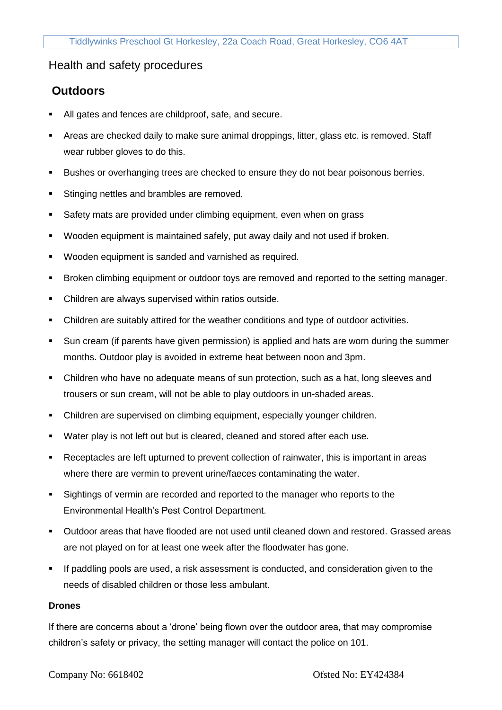## Health and safety procedures

## **Outdoors**

- All gates and fences are childproof, safe, and secure.
- **EXP** Areas are checked daily to make sure animal droppings, litter, glass etc. is removed. Staff wear rubber gloves to do this.
- **EXECT** Bushes or overhanging trees are checked to ensure they do not bear poisonous berries.
- **EXECT:** Stinging nettles and brambles are removed.
- Safety mats are provided under climbing equipment, even when on grass
- Wooden equipment is maintained safely, put away daily and not used if broken.
- Wooden equipment is sanded and varnished as required.
- **EXECT AT ATT CONTEX 1** Broken climbing equipment or outdoor toys are removed and reported to the setting manager.
- Children are always supervised within ratios outside.
- Children are suitably attired for the weather conditions and type of outdoor activities.
- Sun cream (if parents have given permission) is applied and hats are worn during the summer months. Outdoor play is avoided in extreme heat between noon and 3pm.
- Children who have no adequate means of sun protection, such as a hat, long sleeves and trousers or sun cream, will not be able to play outdoors in un-shaded areas.
- Children are supervised on climbing equipment, especially younger children.
- Water play is not left out but is cleared, cleaned and stored after each use.
- Receptacles are left upturned to prevent collection of rainwater, this is important in areas where there are vermin to prevent urine/faeces contaminating the water.
- Sightings of vermin are recorded and reported to the manager who reports to the Environmental Health's Pest Control Department.
- Outdoor areas that have flooded are not used until cleaned down and restored. Grassed areas are not played on for at least one week after the floodwater has gone.
- If paddling pools are used, a risk assessment is conducted, and consideration given to the needs of disabled children or those less ambulant.

## **Drones**

If there are concerns about a 'drone' being flown over the outdoor area, that may compromise children's safety or privacy, the setting manager will contact the police on 101.